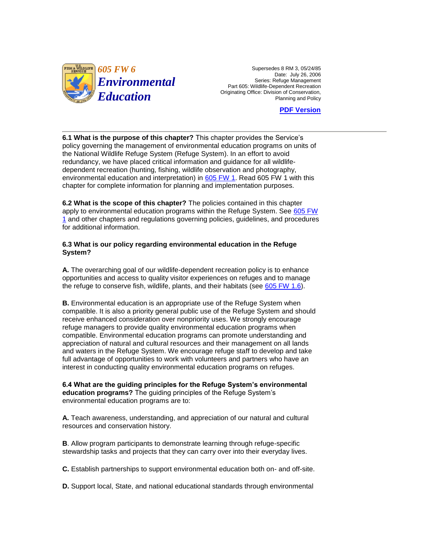

 $\frac{605 \text{ FW 6}}{605 \text{ FW 6}}$  Supersedes 8 RM 3, 05/24/85 Date: July 26, 2006 Part 605: Wildlife-Dependent Recreation Originating Office: Division of Conservation, *Environmental*<br>Beries: Refuge Management Recreation Originating Office: Division of Conservation,<br>Planning and Policy

**[PDF Version](http://policy.fws.gov/605fw6.pdf)** 

 policy governing the management of environmental education programs on units of **6.1 What is the purpose of this chapter?** This chapter provides the Service's the National Wildlife Refuge System (Refuge System). In an effort to avoid redundancy, we have placed critical information and guidance for all wildlifedependent recreation (hunting, fishing, wildlife observation and photography, environmental education and interpretation) in [605 FW 1.](http://www.fws.gov/policy/605fw1.html) Read 605 FW 1 with this chapter for complete information for planning and implementation purposes.

**6.2 What is the scope of this chapter?** The policies contained in this chapter apply to environmental education programs within the Refuge System. See 605 FW [1](http://www.fws.gov/policy/605fw1.html) and other chapters and regulations governing policies, guidelines, and procedures for additional information.

## **6.3 What is our policy regarding environmental education in the Refuge System?**

 **A.** The overarching goal of our wildlife-dependent recreation policy is to enhance opportunities and access to quality visitor experiences on refuges and to manage the refuge to conserve fish, wildlife, plants, and their habitats (see [605 FW 1.6\)](http://www.fws.gov/policy/605fw1.html).

 receive enhanced consideration over nonpriority uses. We strongly encourage appreciation of natural and cultural resources and their management on all lands interest in conducting quality environmental education programs on refuges. **B.** Environmental education is an appropriate use of the Refuge System when compatible. It is also a priority general public use of the Refuge System and should refuge managers to provide quality environmental education programs when compatible. Environmental education programs can promote understanding and and waters in the Refuge System. We encourage refuge staff to develop and take full advantage of opportunities to work with volunteers and partners who have an

**6.4 What are the guiding principles for the Refuge System's environmental education programs?** The guiding principles of the Refuge System's environmental education programs are to:

**A.** Teach awareness, understanding, and appreciation of our natural and cultural resources and conservation history.

**B**. Allow program participants to demonstrate learning through refuge-specific stewardship tasks and projects that they can carry over into their everyday lives.

**C.** Establish partnerships to support environmental education both on- and off-site.

**D.** Support local, State, and national educational standards through environmental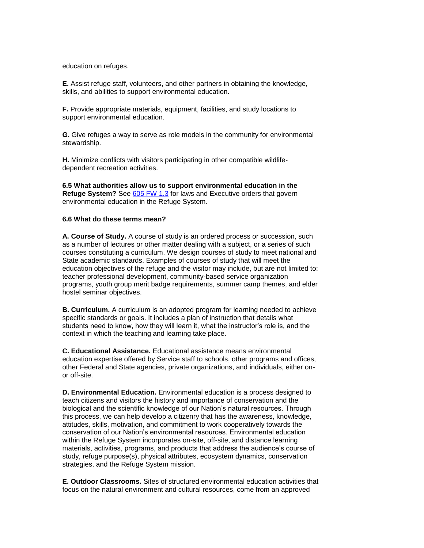education on refuges.

**E.** Assist refuge staff, volunteers, and other partners in obtaining the knowledge, skills, and abilities to support environmental education.

**F.** Provide appropriate materials, equipment, facilities, and study locations to support environmental education.

**G.** Give refuges a way to serve as role models in the community for environmental stewardship.

**H.** Minimize conflicts with visitors participating in other compatible wildlifedependent recreation activities.

**6.5 What authorities allow us to support environmental education in the Refuge System?** See [605 FW 1.3](http://www.fws.gov/policy/605fw1.html) for laws and Executive orders that govern environmental education in the Refuge System.

## **6.6 What do these terms mean?**

 as a number of lectures or other matter dealing with a subject, or a series of such courses constituting a curriculum. We design courses of study to meet national and **A. Course of Study.** A course of study is an ordered process or succession, such State academic standards. Examples of courses of study that will meet the education objectives of the refuge and the visitor may include, but are not limited to: teacher professional development, community-based service organization programs, youth group merit badge requirements, summer camp themes, and elder hostel seminar objectives.

**B. Curriculum.** A curriculum is an adopted program for learning needed to achieve specific standards or goals. It includes a plan of instruction that details what students need to know, how they will learn it, what the instructor's role is, and the context in which the teaching and learning take place.

**C. Educational Assistance.** Educational assistance means environmental education expertise offered by Service staff to schools, other programs and offices, other Federal and State agencies, private organizations, and individuals, either onor off-site.

 teach citizens and visitors the history and importance of conservation and the **D. Environmental Education.** Environmental education is a process designed to biological and the scientific knowledge of our Nation's natural resources. Through this process, we can help develop a citizenry that has the awareness, knowledge, attitudes, skills, motivation, and commitment to work cooperatively towards the conservation of our Nation's environmental resources. Environmental education within the Refuge System incorporates on-site, off-site, and distance learning materials, activities, programs, and products that address the audience's course of study, refuge purpose(s), physical attributes, ecosystem dynamics, conservation strategies, and the Refuge System mission.

**E. Outdoor Classrooms.** Sites of structured environmental education activities that focus on the natural environment and cultural resources, come from an approved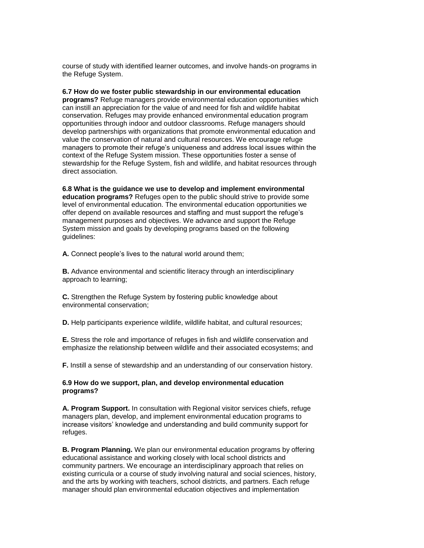course of study with identified learner outcomes, and involve hands-on programs in the Refuge System.

 managers to promote their refuge's uniqueness and address local issues within the **6.7 How do we foster public stewardship in our environmental education programs?** Refuge managers provide environmental education opportunities which can instill an appreciation for the value of and need for fish and wildlife habitat conservation. Refuges may provide enhanced environmental education program opportunities through indoor and outdoor classrooms. Refuge managers should develop partnerships with organizations that promote environmental education and value the conservation of natural and cultural resources. We encourage refuge context of the Refuge System mission. These opportunities foster a sense of stewardship for the Refuge System, fish and wildlife, and habitat resources through direct association.

 level of environmental education. The environmental education opportunities we System mission and goals by developing programs based on the following **6.8 What is the guidance we use to develop and implement environmental education programs?** Refuges open to the public should strive to provide some offer depend on available resources and staffing and must support the refuge's management purposes and objectives. We advance and support the Refuge guidelines:

**A.** Connect people's lives to the natural world around them;

**B.** Advance environmental and scientific literacy through an interdisciplinary approach to learning;

**C.** Strengthen the Refuge System by fostering public knowledge about environmental conservation;

**D.** Help participants experience wildlife, wildlife habitat, and cultural resources;

 **E.** Stress the role and importance of refuges in fish and wildlife conservation and emphasize the relationship between wildlife and their associated ecosystems; and

**F.** Instill a sense of stewardship and an understanding of our conservation history.

## **6.9 How do we support, plan, and develop environmental education programs?**

**A. Program Support.** In consultation with Regional visitor services chiefs, refuge managers plan, develop, and implement environmental education programs to increase visitors' knowledge and understanding and build community support for refuges.

 community partners. We encourage an interdisciplinary approach that relies on and the arts by working with teachers, school districts, and partners. Each refuge **B. Program Planning.** We plan our environmental education programs by offering educational assistance and working closely with local school districts and existing curricula or a course of study involving natural and social sciences, history, manager should plan environmental education objectives and implementation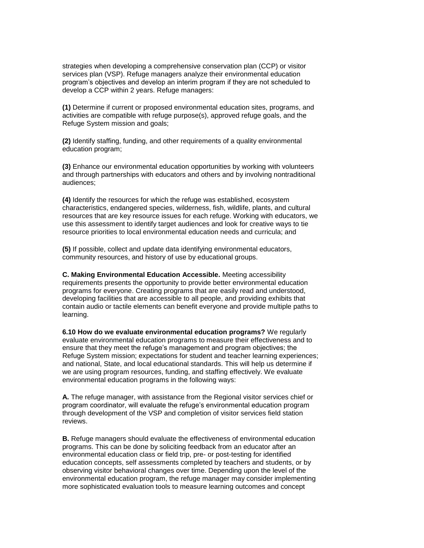develop a CCP within 2 years. Refuge managers: strategies when developing a comprehensive conservation plan (CCP) or visitor services plan (VSP). Refuge managers analyze their environmental education program's objectives and develop an interim program if they are not scheduled to

**(1)** Determine if current or proposed environmental education sites, programs, and activities are compatible with refuge purpose(s), approved refuge goals, and the Refuge System mission and goals;

**(2)** Identify staffing, funding, and other requirements of a quality environmental education program;

**(3)** Enhance our environmental education opportunities by working with volunteers and through partnerships with educators and others and by involving nontraditional audiences;

**(4)** Identify the resources for which the refuge was established, ecosystem characteristics, endangered species, wilderness, fish, wildlife, plants, and cultural resources that are key resource issues for each refuge. Working with educators, we use this assessment to identify target audiences and look for creative ways to tie resource priorities to local environmental education needs and curricula; and

 community resources, and history of use by educational groups. **(5)** If possible, collect and update data identifying environmental educators,

 requirements presents the opportunity to provide better environmental education **C. Making Environmental Education Accessible.** Meeting accessibility programs for everyone. Creating programs that are easily read and understood, developing facilities that are accessible to all people, and providing exhibits that contain audio or tactile elements can benefit everyone and provide multiple paths to learning.

**6.10 How do we evaluate environmental education programs?** We regularly evaluate environmental education programs to measure their effectiveness and to ensure that they meet the refuge's management and program objectives; the Refuge System mission; expectations for student and teacher learning experiences; and national, State, and local educational standards. This will help us determine if we are using program resources, funding, and staffing effectively. We evaluate environmental education programs in the following ways:

 program coordinator, will evaluate the refuge's environmental education program **A.** The refuge manager, with assistance from the Regional visitor services chief or through development of the VSP and completion of visitor services field station reviews.

 observing visitor behavioral changes over time. Depending upon the level of the **B.** Refuge managers should evaluate the effectiveness of environmental education programs. This can be done by soliciting feedback from an educator after an environmental education class or field trip, pre- or post-testing for identified education concepts, self assessments completed by teachers and students, or by environmental education program, the refuge manager may consider implementing more sophisticated evaluation tools to measure learning outcomes and concept